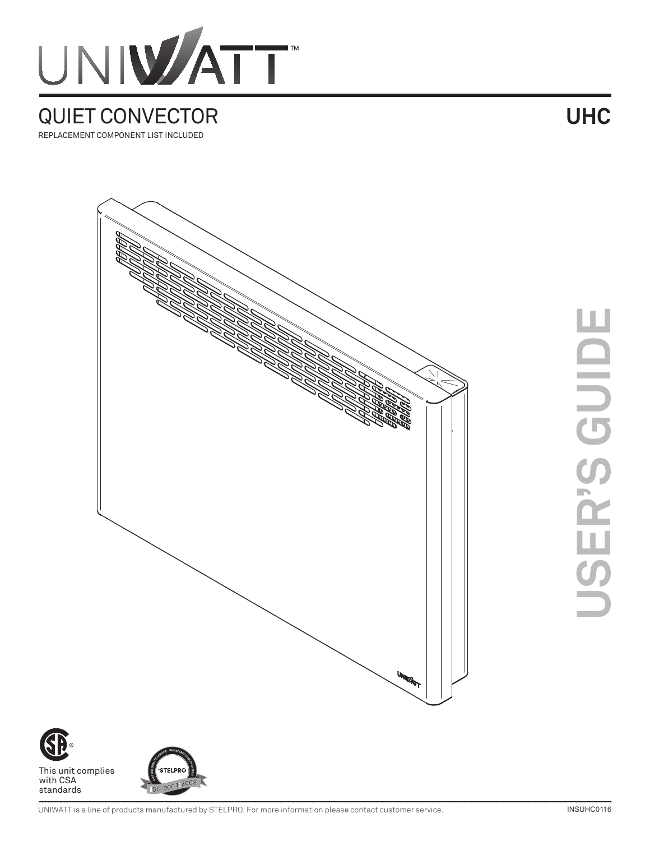

## QUIET CONVECTOR REPLACEMENT COMPONENT LIST INCLUDED

**UHC**



ш



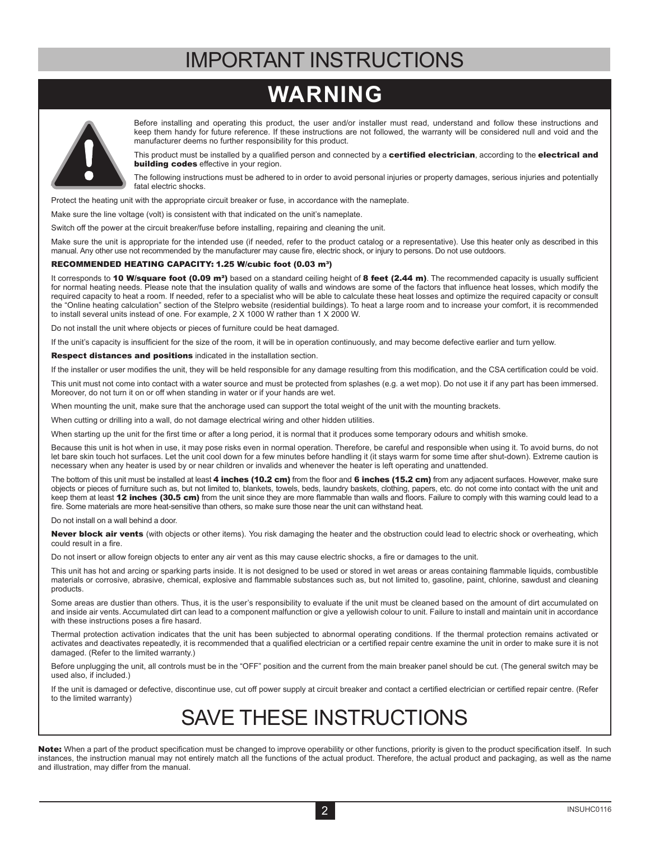## IMPORTANT INSTRUCTIONS

## **WARNING**



Before installing and operating this product, the user and/or installer must read, understand and follow these instructions and keep them handy for future reference. If these instructions are not followed, the warranty will be considered null and void and the manufacturer deems no further responsibility for this product.

This product must be installed by a qualified person and connected by a certified electrician, according to the electrical and **building codes** effective in your region.

The following instructions must be adhered to in order to avoid personal injuries or property damages, serious injuries and potentially fatal electric shocks.

Protect the heating unit with the appropriate circuit breaker or fuse, in accordance with the nameplate.

Make sure the line voltage (volt) is consistent with that indicated on the unit's nameplate.

Switch off the power at the circuit breaker/fuse before installing, repairing and cleaning the unit.

Make sure the unit is appropriate for the intended use (if needed, refer to the product catalog or a representative). Use this heater only as described in this manual. Any other use not recommended by the manufacturer may cause fire, electric shock, or injury to persons. Do not use outdoors.

#### RECOMMENDED HEATING CAPACITY: 1.25 W/cubic foot (0.03 m<sup>3</sup>)

It corresponds to 10 W/square foot (0.09 m<sup>2</sup>) based on a standard ceiling height of 8 feet (2.44 m). The recommended capacity is usually sufficient for normal heating needs. Please note that the insulation quality of walls and windows are some of the factors that influence heat losses, which modify the required capacity to heat a room. If needed, refer to a specialist who will be able to calculate these heat losses and optimize the required capacity or consult the "Online heating calculation" section of the Stelpro website (residential buildings). To heat a large room and to increase your comfort, it is recommended to install several units instead of one. For example, 2 X 1000 W rather than 1 X 2000 W.

Do not install the unit where objects or pieces of furniture could be heat damaged.

If the unit's capacity is insufficient for the size of the room, it will be in operation continuously, and may become defective earlier and turn yellow.

Respect distances and positions indicated in the installation section.

If the installer or user modifies the unit, they will be held responsible for any damage resulting from this modification, and the CSA certification could be void.

This unit must not come into contact with a water source and must be protected from splashes (e.g. a wet mop). Do not use it if any part has been immersed. Moreover, do not turn it on or off when standing in water or if your hands are wet.

When mounting the unit, make sure that the anchorage used can support the total weight of the unit with the mounting brackets.

When cutting or drilling into a wall, do not damage electrical wiring and other hidden utilities.

When starting up the unit for the first time or after a long period, it is normal that it produces some temporary odours and whitish smoke.

Because this unit is hot when in use, it may pose risks even in normal operation. Therefore, be careful and responsible when using it. To avoid burns, do not let bare skin touch hot surfaces. Let the unit cool down for a few minutes before handling it (it stays warm for some time after shut-down). Extreme caution is necessary when any heater is used by or near children or invalids and whenever the heater is left operating and unattended.

The bottom of this unit must be installed at least 4 inches (10.2 cm) from the floor and 6 inches (15.2 cm) from any adjacent surfaces. However, make sure objects or pieces of furniture such as, but not limited to, blankets, towels, beds, laundry baskets, clothing, papers, etc. do not come into contact with the unit and keep them at least 12 inches (30.5 cm) from the unit since they are more flammable than walls and floors. Failure to comply with this warning could lead to a fire. Some materials are more heat-sensitive than others, so make sure those near the unit can withstand heat.

Do not install on a wall behind a door.

Never block air vents (with objects or other items). You risk damaging the heater and the obstruction could lead to electric shock or overheating, which could result in a fire.

Do not insert or allow foreign objects to enter any air vent as this may cause electric shocks, a fire or damages to the unit.

This unit has hot and arcing or sparking parts inside. It is not designed to be used or stored in wet areas or areas containing flammable liquids, combustible materials or corrosive, abrasive, chemical, explosive and flammable substances such as, but not limited to, gasoline, paint, chlorine, sawdust and cleaning products.

Some areas are dustier than others. Thus, it is the user's responsibility to evaluate if the unit must be cleaned based on the amount of dirt accumulated on and inside air vents. Accumulated dirt can lead to a component malfunction or give a yellowish colour to unit. Failure to install and maintain unit in accordance with these instructions poses a fire hasard.

Thermal protection activation indicates that the unit has been subjected to abnormal operating conditions. If the thermal protection remains activated or activates and deactivates repeatedly, it is recommended that a qualified electrician or a certified repair centre examine the unit in order to make sure it is not damaged. (Refer to the limited warranty.)

Before unplugging the unit, all controls must be in the "OFF" position and the current from the main breaker panel should be cut. (The general switch may be used also, if included.)

If the unit is damaged or defective, discontinue use, cut off power supply at circuit breaker and contact a certified electrician or certified repair centre. (Refer to the limited warranty)

## SAVE THESE INSTRUCTIONS

Note: When a part of the product specification must be changed to improve operability or other functions, priority is given to the product specification itself. In such instances, the instruction manual may not entirely match all the functions of the actual product. Therefore, the actual product and packaging, as well as the name and illustration, may differ from the manual.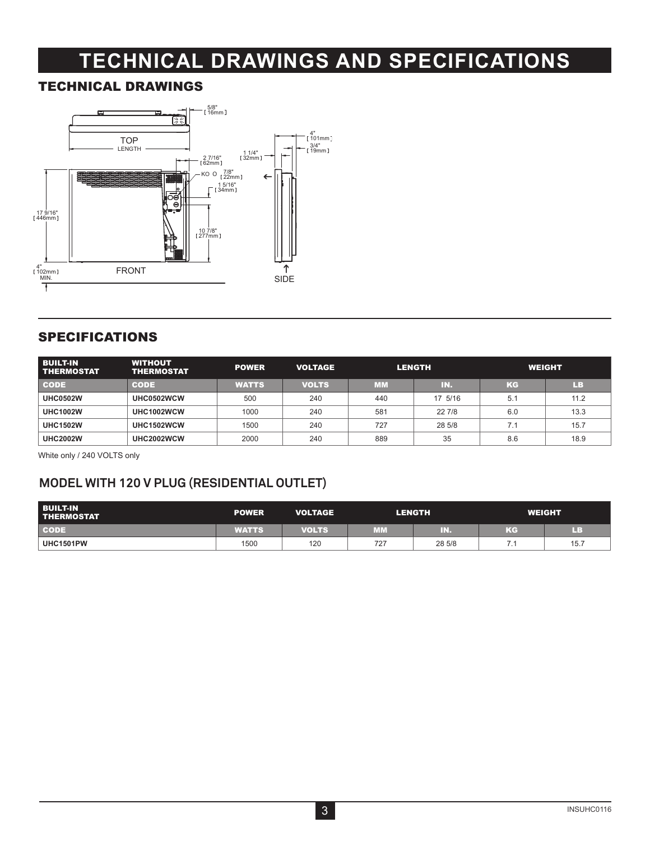# **TECHNICAL DRAWINGS AND SPECIFICATIONS**

### TECHNICAL DRAWINGS



## SPECIFICATIONS

| <b>BUILT-IN</b><br><b>THERMOSTAT</b> | <b>WITHOUT</b><br><b>THERMOSTAT</b> | <b>POWER</b> | <b>VOLTAGE</b> |           | <b>LENGTH</b> |     | <b>WEIGHT</b> |
|--------------------------------------|-------------------------------------|--------------|----------------|-----------|---------------|-----|---------------|
| <b>CODE</b>                          | <b>CODE</b>                         | <b>WATTS</b> | <b>VOLTS</b>   | <b>MM</b> | TN.           | KG  | LВ            |
| <b>UHC0502W</b>                      | UHC0502WCW                          | 500          | 240            | 440       | 17 5/16       | 5.1 | 11.2          |
| <b>UHC1002W</b>                      | UHC1002WCW                          | 1000         | 240            | 581       | 22 7/8        | 6.0 | 13.3          |
| <b>UHC1502W</b>                      | UHC1502WCW                          | 1500         | 240            | 727       | 28 5/8        | 7.1 | 15.7          |
| <b>UHC2002W</b>                      | UHC2002WCW                          | 2000         | 240            | 889       | 35            | 8.6 | 18.9          |

White only / 240 VOLTS only

## **MODEL WITH 120 V PLUG (RESIDENTIAL OUTLET)**

| <b>BUILT-IN</b><br><b>THERMOSTAT</b> | <b>POWER</b> | <b>VOLTAGE</b> |     | <b>LENGTH</b> |    | <b>WEIGHT</b> |
|--------------------------------------|--------------|----------------|-----|---------------|----|---------------|
| <b>CODE</b>                          | <b>WATTS</b> | <b>VOLTS</b>   | MM  | R.            | KG | ПB            |
| <b>UHC1501PW</b>                     | 1500         | 120            | 727 | 28 5/8        |    | 15.7          |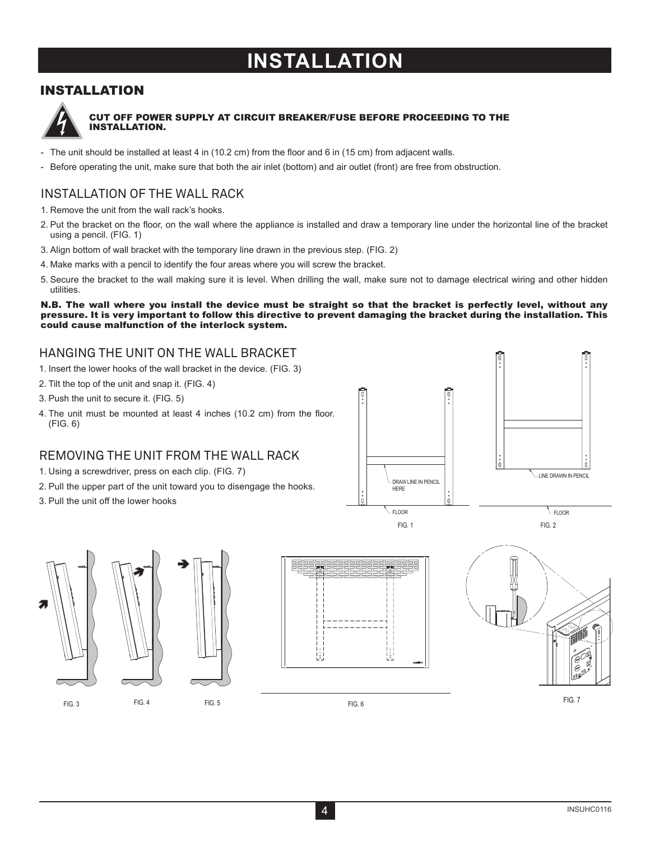## **INSTALLATION**

## INSTALLATION



#### CUT OFF POWER SUPPLY AT CIRCUIT BREAKER/FUSE BEFORE PROCEEDING TO THE INSTALLATION.

- The unit should be installed at least 4 in (10.2 cm) from the floor and 6 in (15 cm) from adjacent walls.
- Before operating the unit, make sure that both the air inlet (bottom) and air outlet (front) are free from obstruction.

## INSTALLATION OF THE WALL RACK

- 1. Remove the unit from the wall rack's hooks.
- 2. Put the bracket on the floor, on the wall where the appliance is installed and draw a temporary line under the horizontal line of the bracket using a pencil. (FIG. 1)
- 3. Align bottom of wall bracket with the temporary line drawn in the previous step. (FIG. 2)
- 4. Make marks with a pencil to identify the four areas where you will screw the bracket.
- 5. Secure the bracket to the wall making sure it is level. When drilling the wall, make sure not to damage electrical wiring and other hidden utilities.

N.B. The wall where you install the device must be straight so that the bracket is perfectly level, without any pressure. It is very important to follow this directive to prevent damaging the bracket during the installation. This could cause malfunction of the interlock system.

### HANGING THE UNIT ON THE WALL BRACKET

- 1. Insert the lower hooks of the wall bracket in the device. (FIG. 3)
- 2. Tilt the top of the unit and snap it. (FIG. 4)
- 3. Push the unit to secure it. (FIG. 5)
- 4. The unit must be mounted at least 4 inches (10.2 cm) from the floor. (FIG. 6)

## REMOVING THE UNIT FROM THE WALL RACK

- 1. Using a screwdriver, press on each clip. (FIG. 7)
- 2. Pull the upper part of the unit toward you to disengage the hooks.
- 3. Pull the unit off the lower hooks



FIG. 3

FIG. 4



FIG. 6



FIG. 2

FLOOR FLOOR FLOOR

LINE DRAWN IN PENCIL

FIG. 5 FIG. 7 FIG. 6 FIG. 6 FIG. 7 FIG. 7 FIG. 7 FIG. 7 FIG. 7

DRAW LINE IN PENCIL HERE

FIG. 1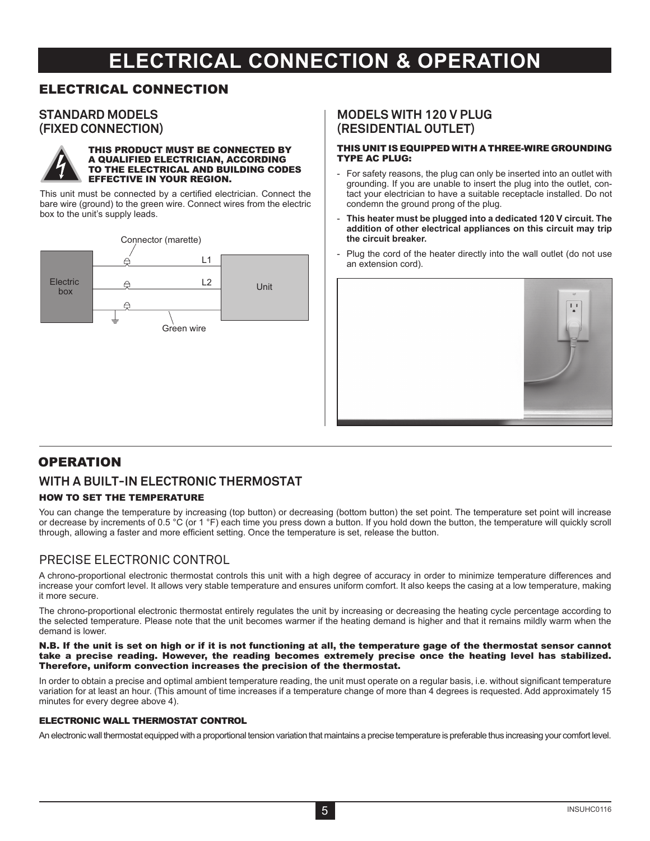## **ELECTRICAL CONNECTION & OPERATION**

### ELECTRICAL CONNECTION

### **STANDARD MODELS (FIXED CONNECTION)**



#### THIS PRODUCT MUST BE CONNECTED BY A QUALIFIED ELECTRICIAN, ACCORDING TO THE ELECTRICAL AND BUILDING CODES EFFECTIVE IN YOUR REGION.

This unit must be connected by a certified electrician. Connect the bare wire (ground) to the green wire. Connect wires from the electric box to the unit's supply leads.



### **MODELS WITH 120 V PLUG (RESIDENTIAL OUTLET)**

#### THIS UNIT IS EQUIPPED WITH A THREE-WIRE GROUNDING TYPE AC PLUG:

- For safety reasons, the plug can only be inserted into an outlet with grounding. If you are unable to insert the plug into the outlet, contact your electrician to have a suitable receptacle installed. Do not condemn the ground prong of the plug.
- **This heater must be plugged into a dedicated 120 V circuit. The addition of other electrical appliances on this circuit may trip the circuit breaker.**
- Plug the cord of the heater directly into the wall outlet (do not use an extension cord).



## **OPERATION**

## **WITH A BUILT-IN ELECTRONIC THERMOSTAT**

### HOW TO SET THE TEMPERATURE

You can change the temperature by increasing (top button) or decreasing (bottom button) the set point. The temperature set point will increase or decrease by increments of 0.5 °C (or 1 °F) each time you press down a button. If you hold down the button, the temperature will quickly scroll through, allowing a faster and more efficient setting. Once the temperature is set, release the button.

### PRECISE ELECTRONIC CONTROL

A chrono-proportional electronic thermostat controls this unit with a high degree of accuracy in order to minimize temperature differences and increase your comfort level. It allows very stable temperature and ensures uniform comfort. It also keeps the casing at a low temperature, making it more secure.

The chrono-proportional electronic thermostat entirely regulates the unit by increasing or decreasing the heating cycle percentage according to the selected temperature. Please note that the unit becomes warmer if the heating demand is higher and that it remains mildly warm when the demand is lower.

#### N.B. If the unit is set on high or if it is not functioning at all, the temperature gage of the thermostat sensor cannot take a precise reading. However, the reading becomes extremely precise once the heating level has stabilized. Therefore, uniform convection increases the precision of the thermostat.

In order to obtain a precise and optimal ambient temperature reading, the unit must operate on a regular basis, i.e. without significant temperature variation for at least an hour. (This amount of time increases if a temperature change of more than 4 degrees is requested. Add approximately 15 minutes for every degree above 4).

#### ELECTRONIC WALL THERMOSTAT CONTROL

An electronic wall thermostat equipped with a proportional tension variation that maintains a precise temperature is preferable thus increasing your comfort level.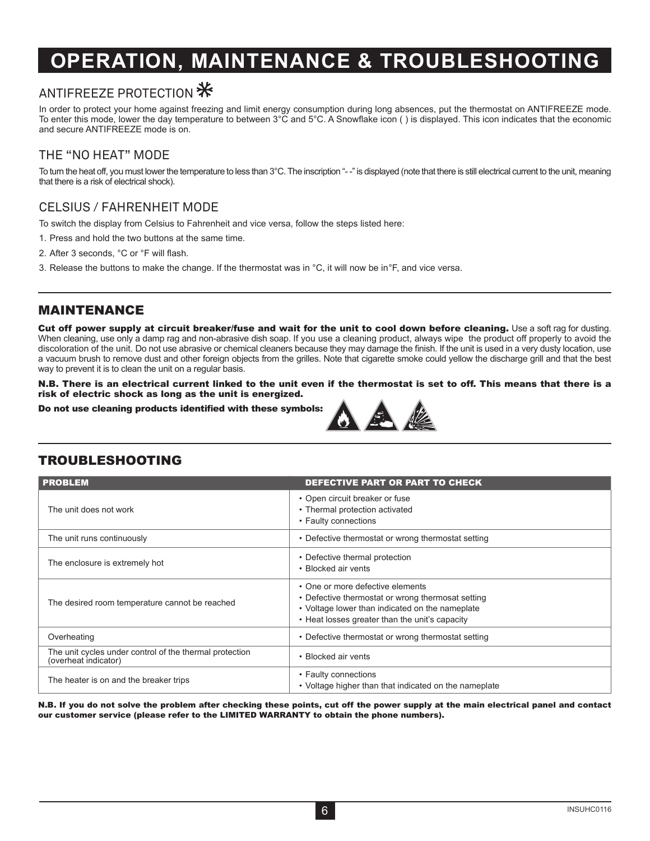## **OPERATION, MAINTENANCE & TROUBLESHOOTING**

## ANTIFREEZE PROTECTION  $\divideontimes$

In order to protect your home against freezing and limit energy consumption during long absences, put the thermostat on ANTIFREEZE mode. To enter this mode, lower the day temperature to between 3°C and 5°C. A Snowflake icon ( ) is displayed. This icon indicates that the economic and secure ANTIFREEZE mode is on.

## THE "NO HEAT" MODE

To turn the heat off, you must lower the temperature to less than 3°C. The inscription "--" is displayed (note that there is still electrical current to the unit, meaning that there is a risk of electrical shock).

## CELSIUS / FAHRENHEIT MODE

To switch the display from Celsius to Fahrenheit and vice versa, follow the steps listed here:

- 1. Press and hold the two buttons at the same time.
- 2. After 3 seconds, °C or °F will flash.
- 3. Release the buttons to make the change. If the thermostat was in °C, it will now be in°F, and vice versa.

### MAINTENANCE

Cut off power supply at circuit breaker/fuse and wait for the unit to cool down before cleaning. Use a soft rag for dusting. When cleaning, use only a damp rag and non-abrasive dish soap. If you use a cleaning product, always wipe the product off properly to avoid the discoloration of the unit. Do not use abrasive or chemical cleaners because they may damage the finish. If the unit is used in a very dusty location, use a vacuum brush to remove dust and other foreign objects from the grilles. Note that cigarette smoke could yellow the discharge grill and that the best way to prevent it is to clean the unit on a regular basis.

N.B. There is an electrical current linked to the unit even if the thermostat is set to off. This means that there is a risk of electric shock as long as the unit is energized.

Do not use cleaning products identified with these symbols:



## TROUBLESHOOTING

| <b>PROBLEM</b>                                                                  | DEFECTIVE PART OR PART TO CHECK                                                                                                                                                            |
|---------------------------------------------------------------------------------|--------------------------------------------------------------------------------------------------------------------------------------------------------------------------------------------|
| The unit does not work                                                          | • Open circuit breaker or fuse<br>• Thermal protection activated<br>• Faulty connections                                                                                                   |
| The unit runs continuously                                                      | • Defective thermostat or wrong thermostat setting                                                                                                                                         |
| The enclosure is extremely hot                                                  | • Defective thermal protection<br>• Blocked air vents                                                                                                                                      |
| The desired room temperature cannot be reached                                  | • One or more defective elements<br>• Defective thermostat or wrong thermosat setting<br>• Voltage lower than indicated on the nameplate<br>• Heat losses greater than the unit's capacity |
| Overheating                                                                     | • Defective thermostat or wrong thermostat setting                                                                                                                                         |
| The unit cycles under control of the thermal protection<br>(overheat indicator) | • Blocked air vents                                                                                                                                                                        |
| The heater is on and the breaker trips                                          | • Faulty connections<br>• Voltage higher than that indicated on the nameplate                                                                                                              |

N.B. If you do not solve the problem after checking these points, cut off the power supply at the main electrical panel and contact our customer service (please refer to the LIMITED WARRANTY to obtain the phone numbers).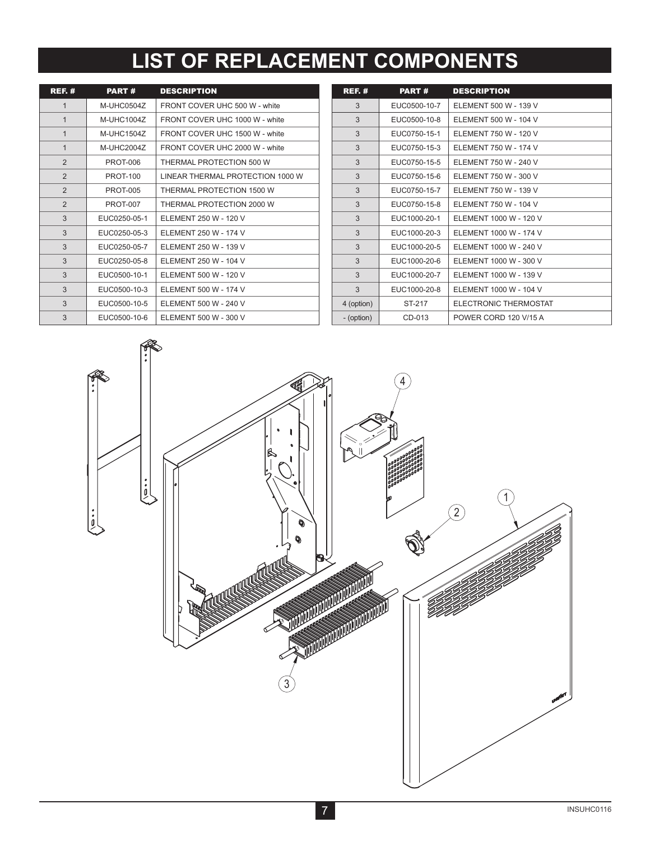# **LIST OF REPLACEMENT COMPONENTS**

| <b>REF. #</b>  | PART#           | <b>DESCRIPTION</b>               |
|----------------|-----------------|----------------------------------|
| $\mathbf{1}$   | M-UHC0504Z      | FRONT COVER UHC 500 W - white    |
| $\mathbf{1}$   | M-UHC1004Z      | FRONT COVER UHC 1000 W - white   |
| $\mathbf{1}$   | M-UHC15047      | FRONT COVER UHC 1500 W - white   |
| $\mathbf{1}$   | M-UHC2004Z      | FRONT COVER UHC 2000 W - white   |
| $\mathfrak{p}$ | <b>PROT-006</b> | THERMAL PROTECTION 500 W         |
| $\overline{2}$ | <b>PROT-100</b> | LINEAR THERMAL PROTECTION 1000 W |
| $\mathfrak{p}$ | <b>PROT-005</b> | THERMAL PROTECTION 1500 W        |
| 2              | <b>PROT-007</b> | THERMAL PROTECTION 2000 W        |
| 3              | EUC0250-05-1    | FLEMENT 250 W - 120 V            |
| 3              | EUC0250-05-3    | ELEMENT 250 W - 174 V            |
| 3              | EUC0250-05-7    | FLEMENT 250 W - 139 V            |
| 3              | EUC0250-05-8    | ELEMENT 250 W - 104 V            |
| 3              | EUC0500-10-1    | ELEMENT 500 W - 120 V            |
| 3              | EUC0500-10-3    | FI FMFNT 500 W - 174 V           |
| 3              | EUC0500-10-5    | ELEMENT 500 W - 240 V            |
| 3              | EUC0500-10-6    | ELEMENT 500 W - 300 V            |

| <b>REF. #</b> | <b>PART#</b> | <b>DESCRIPTION</b>     |
|---------------|--------------|------------------------|
| 3             | EUC0500-10-7 | ELEMENT 500 W - 139 V  |
| 3             | EUC0500-10-8 | ELEMENT 500 W - 104 V  |
| 3             | EUC0750-15-1 | ELEMENT 750 W - 120 V  |
| 3             | EUC0750-15-3 | ELEMENT 750 W - 174 V  |
| 3             | EUC0750-15-5 | ELEMENT 750 W - 240 V  |
| 3             | EUC0750-15-6 | ELEMENT 750 W - 300 V  |
| 3             | EUC0750-15-7 | ELEMENT 750 W - 139 V  |
| 3             | EUC0750-15-8 | FLEMENT 750 W - 104 V  |
| 3             | EUC1000-20-1 | ELEMENT 1000 W - 120 V |
| 3             | EUC1000-20-3 | ELEMENT 1000 W - 174 V |
| 3             | EUC1000-20-5 | ELEMENT 1000 W - 240 V |
| 3             | EUC1000-20-6 | ELEMENT 1000 W - 300 V |
| 3             | EUC1000-20-7 | ELEMENT 1000 W - 139 V |
| 3             | EUC1000-20-8 | ELEMENT 1000 W - 104 V |
| 4 (option)    | ST-217       | ELECTRONIC THERMOSTAT  |
| - (option)    | CD-013       | POWER CORD 120 V/15 A  |